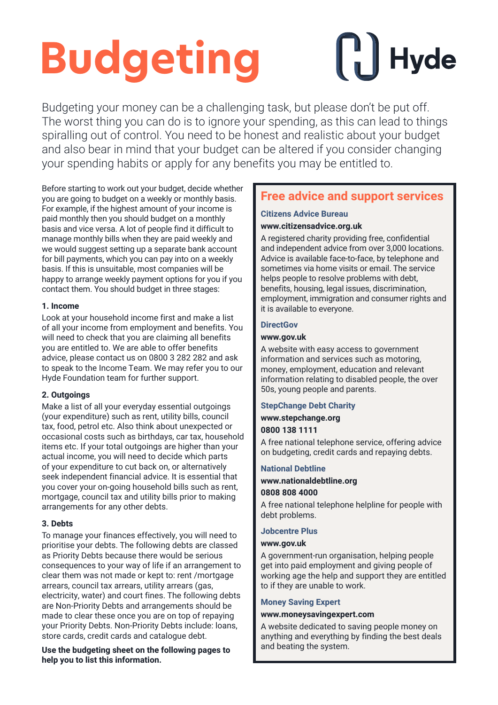## **Budgeting**

# $\|\cdot\|$  Hyde

Budgeting your money can be a challenging task, but please don't be put off. The worst thing you can do is to ignore your spending, as this can lead to things spiralling out of control. You need to be honest and realistic about your budget and also bear in mind that your budget can be altered if you consider changing your spending habits or apply for any benefits you may be entitled to.

Before starting to work out your budget, decide whether you are going to budget on a weekly or monthly basis. For example, if the highest amount of your income is paid monthly then you should budget on a monthly basis and vice versa. A lot of people find it difficult to manage monthly bills when they are paid weekly and we would suggest setting up a separate bank account for bill payments, which you can pay into on a weekly basis. If this is unsuitable, most companies will be happy to arrange weekly payment options for you if you contact them. You should budget in three stages:

#### **1. Income**

Look at your household income first and make a list of all your income from employment and benefits. You will need to check that you are claiming all benefits you are entitled to. We are able to offer benefits advice, please contact us on 0800 3 282 282 and ask to speak to the Income Team. We may refer you to our Hyde Foundation team for further support.

#### **2. Outgoings**

Make a list of all your everyday essential outgoings (your expenditure) such as rent, utility bills, council tax, food, petrol etc. Also think about unexpected or occasional costs such as birthdays, car tax, household items etc. If your total outgoings are higher than your actual income, you will need to decide which parts of your expenditure to cut back on, or alternatively seek independent financial advice. It is essential that you cover your on-going household bills such as rent, mortgage, council tax and utility bills prior to making arrangements for any other debts.

#### **3. Debts**

To manage your finances effectively, you will need to prioritise your debts. The following debts are classed as Priority Debts because there would be serious consequences to your way of life if an arrangement to clear them was not made or kept to: rent /mortgage arrears, council tax arrears, utility arrears (gas, electricity, water) and court fines. The following debts are Non-Priority Debts and arrangements should be made to clear these once you are on top of repaying your Priority Debts. Non-Priority Debts include: loans, store cards, credit cards and catalogue debt.

**Use the budgeting sheet on the following pages to help you to list this information.**

### **Free advice and support services**

#### **Citizens Advice Bureau www.citizensadvice.org.uk**

A registered charity providing free, confidential and independent advice from over 3,000 locations. Advice is available face-to-face, by telephone and sometimes via home visits or email. The service helps people to resolve problems with debt, benefits, housing, legal issues, discrimination, employment, immigration and consumer rights and it is available to everyone.

#### **DirectGov**

#### **www.gov.uk**

A website with easy access to government information and services such as motoring, money, employment, education and relevant information relating to disabled people, the over 50s, young people and parents.

#### **StepChange Debt Charity**

**www.stepchange.org**

#### **0800 138 1111**

A free national telephone service, offering advice on budgeting, credit cards and repaying debts.

#### **National Debtline**

#### **www.nationaldebtline.org**

#### **0808 808 4000**

A free national telephone helpline for people with debt problems.

#### **Jobcentre Plus**

#### **www.gov.uk**

A government-run organisation, helping people get into paid employment and giving people of working age the help and support they are entitled to if they are unable to work.

#### **Money Saving Expert**

#### **www.moneysavingexpert.com**

A website dedicated to saving people money on anything and everything by finding the best deals and beating the system.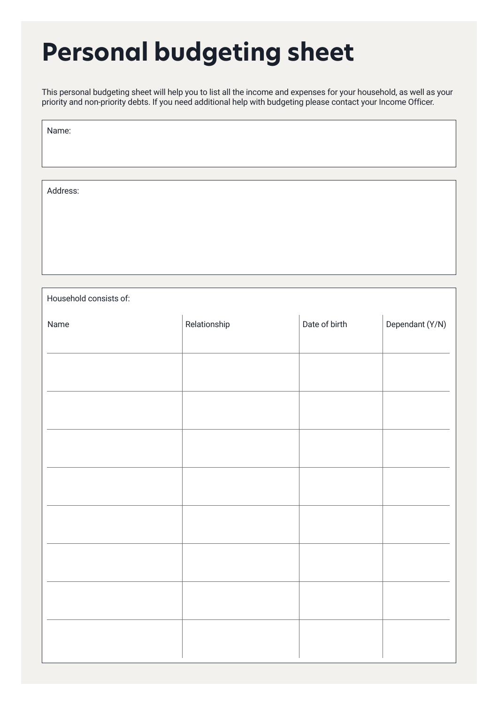## **Personal budgeting sheet**

This personal budgeting sheet will help you to list all the income and expenses for your household, as well as your priority and non-priority debts. If you need additional help with budgeting please contact your Income Officer.

Name:

Address:

Household consists of: Name Relationship Date of birth Dependant (Y/N)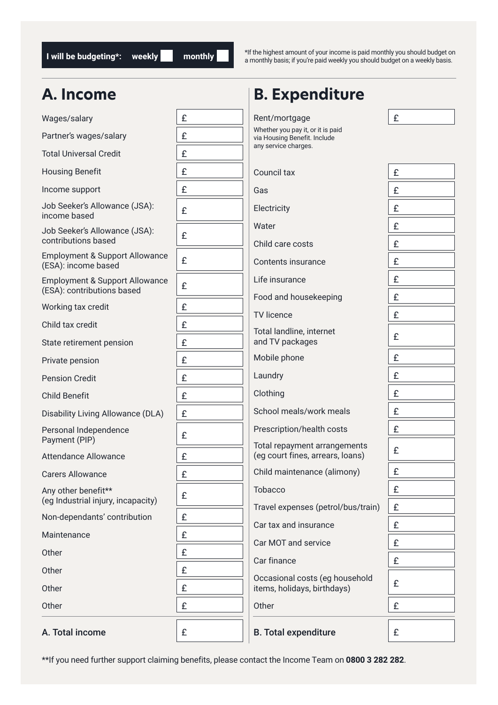**I** will be budgeting\*: weekly **the monthly** 

\*If the highest amount of your income is paid monthly you should budget on a monthly basis; if you're paid weekly you should budget on a weekly basis.

### **A. Income**

| A. Income                                                               |   | <b>B. Expenditure</b>                                             |   |
|-------------------------------------------------------------------------|---|-------------------------------------------------------------------|---|
| Wages/salary                                                            | £ | Rent/mortgage                                                     | £ |
| Partner's wages/salary                                                  | £ | Whether you pay it, or it is paid<br>via Housing Benefit. Include |   |
| <b>Total Universal Credit</b>                                           | £ | any service charges.                                              |   |
| <b>Housing Benefit</b>                                                  | £ | Council tax                                                       | £ |
| Income support                                                          | £ | Gas                                                               | £ |
| Job Seeker's Allowance (JSA):<br>income based                           | £ | Electricity                                                       | £ |
| Job Seeker's Allowance (JSA):<br>contributions based                    | £ | Water                                                             | £ |
| Employment & Support Allowance                                          |   | Child care costs                                                  | £ |
| (ESA): income based                                                     | £ | Contents insurance                                                | £ |
| <b>Employment &amp; Support Allowance</b><br>(ESA): contributions based | £ | Life insurance                                                    | £ |
| Working tax credit                                                      | £ | Food and housekeeping                                             | £ |
| Child tax credit                                                        | £ | <b>TV</b> licence                                                 | £ |
| State retirement pension                                                | £ | Total landline, internet<br>and TV packages                       | £ |
| Private pension                                                         | £ | Mobile phone                                                      | £ |
| <b>Pension Credit</b>                                                   | £ | Laundry                                                           | £ |
| <b>Child Benefit</b>                                                    | £ | Clothing                                                          | £ |
| Disability Living Allowance (DLA)                                       | £ | School meals/work meals                                           | £ |
| Personal Independence<br>Payment (PIP)                                  | £ | Prescription/health costs                                         | £ |
| <b>Attendance Allowance</b>                                             | £ | Total repayment arrangements<br>(eg court fines, arrears, loans)  | £ |
| <b>Carers Allowance</b>                                                 | £ | Child maintenance (alimony)                                       | £ |
| Any other benefit**<br>(eg Industrial injury, incapacity)               | £ | Tobacco                                                           | £ |
| Non-dependants' contribution                                            | £ | Travel expenses (petrol/bus/train)                                | £ |
| Maintenance                                                             | £ | Car tax and insurance                                             | £ |
|                                                                         |   | Car MOT and service                                               | £ |
| Other                                                                   | £ | Car finance                                                       | £ |
| Other                                                                   | £ | Occasional costs (eg household                                    | £ |
| Other                                                                   | £ | items, holidays, birthdays)                                       |   |
| Other                                                                   | £ | Other                                                             | £ |
| A. Total income                                                         | £ | <b>B.</b> Total expenditure                                       | £ |

\*\*If you need further support claiming benefits, please contact the Income Team on **0800 3 282 282**.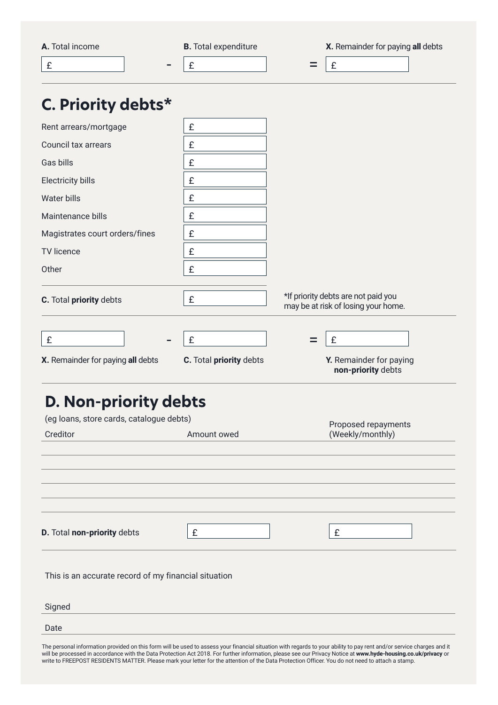|                                                      | <b>B.</b> Total expenditure | X. Remainder for paying all debts                                          |
|------------------------------------------------------|-----------------------------|----------------------------------------------------------------------------|
| A. Total income                                      |                             | £<br>$=$                                                                   |
| $\mathbf f$                                          | £                           |                                                                            |
| C. Priority debts*                                   |                             |                                                                            |
| Rent arrears/mortgage                                | £                           |                                                                            |
| Council tax arrears                                  | £                           |                                                                            |
| Gas bills                                            | £                           |                                                                            |
| <b>Electricity bills</b>                             | £                           |                                                                            |
| Water bills                                          | £                           |                                                                            |
| Maintenance bills                                    | £                           |                                                                            |
| Magistrates court orders/fines                       | £                           |                                                                            |
| <b>TV</b> licence                                    | £                           |                                                                            |
| Other                                                | £                           |                                                                            |
|                                                      |                             |                                                                            |
| C. Total priority debts                              | £                           | *If priority debts are not paid you<br>may be at risk of losing your home. |
|                                                      |                             |                                                                            |
| $\mathbf f$                                          | £                           | £<br>$=$                                                                   |
| X. Remainder for paying all debts                    | C. Total priority debts     | Y. Remainder for paying<br>non-priority debts                              |
|                                                      |                             |                                                                            |
|                                                      |                             |                                                                            |
| D. Non-priority debts                                |                             |                                                                            |
| (eg loans, store cards, catalogue debts)             |                             | Proposed repayments                                                        |
| Creditor                                             | Amount owed                 | (Weekly/monthly)                                                           |
|                                                      |                             |                                                                            |
|                                                      |                             |                                                                            |
|                                                      |                             |                                                                            |
|                                                      |                             |                                                                            |
| D. Total non-priority debts                          | £                           | £                                                                          |
|                                                      |                             |                                                                            |
|                                                      |                             |                                                                            |
| This is an accurate record of my financial situation |                             |                                                                            |
| Signed                                               |                             |                                                                            |

The personal information provided on this form will be used to assess your financial situation with regards to your ability to pay rent and/or service charges and it will be processed in accordance with the Data Protection Act 2018. For further information, please see our Privacy Notice at **www.hyde-housing.co.uk/privacy** or write to FREEPOST RESIDENTS MATTER. Please mark your letter for the attention of the Data Protection Officer. You do not need to attach a stamp.